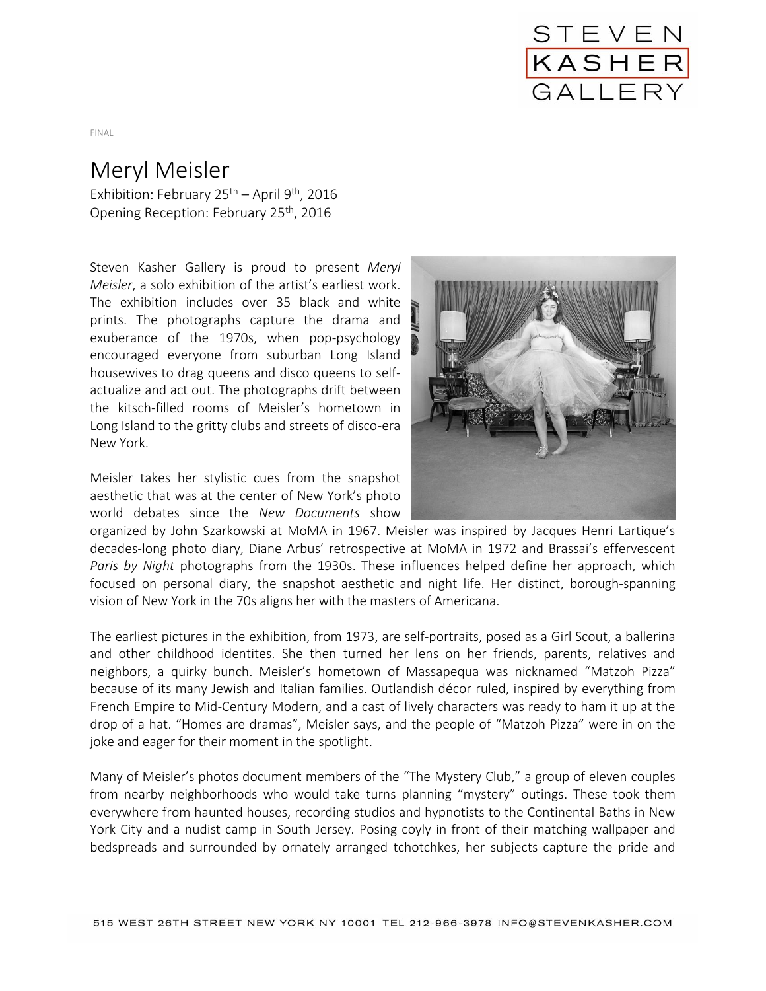

## FINAL

## Meryl Meisler

Exhibition: February 25<sup>th</sup> – April 9<sup>th</sup>, 2016 Opening Reception: February 25<sup>th</sup>, 2016

Steven Kasher Gallery is proud to present *Meryl Meisler*, a solo exhibition of the artist's earliest work. The exhibition includes over 35 black and white prints. The photographs capture the drama and exuberance of the 1970s, when pop-psychology encouraged everyone from suburban Long Island housewives to drag queens and disco queens to selfactualize and act out. The photographs drift between the kitsch-filled rooms of Meisler's hometown in Long Island to the gritty clubs and streets of disco-era New York.

Meisler takes her stylistic cues from the snapshot aesthetic that was at the center of New York's photo world debates since the *New Documents* show



organized by John Szarkowski at MoMA in 1967. Meisler was inspired by Jacques Henri Lartique's decades-long photo diary, Diane Arbus' retrospective at MoMA in 1972 and Brassai's effervescent *Paris by Night* photographs from the 1930s. These influences helped define her approach, which focused on personal diary, the snapshot aesthetic and night life. Her distinct, borough-spanning vision of New York in the 70s aligns her with the masters of Americana.

The earliest pictures in the exhibition, from 1973, are self-portraits, posed as a Girl Scout, a ballerina and other childhood identites. She then turned her lens on her friends, parents, relatives and neighbors, a quirky bunch. Meisler's hometown of Massapequa was nicknamed "Matzoh Pizza" because of its many Jewish and Italian families. Outlandish décor ruled, inspired by everything from French Empire to Mid-Century Modern, and a cast of lively characters was ready to ham it up at the drop of a hat. "Homes are dramas", Meisler says, and the people of "Matzoh Pizza" were in on the joke and eager for their moment in the spotlight.

Many of Meisler's photos document members of the "The Mystery Club," a group of eleven couples from nearby neighborhoods who would take turns planning "mystery" outings. These took them everywhere from haunted houses, recording studios and hypnotists to the Continental Baths in New York City and a nudist camp in South Jersey. Posing coyly in front of their matching wallpaper and bedspreads and surrounded by ornately arranged tchotchkes, her subjects capture the pride and